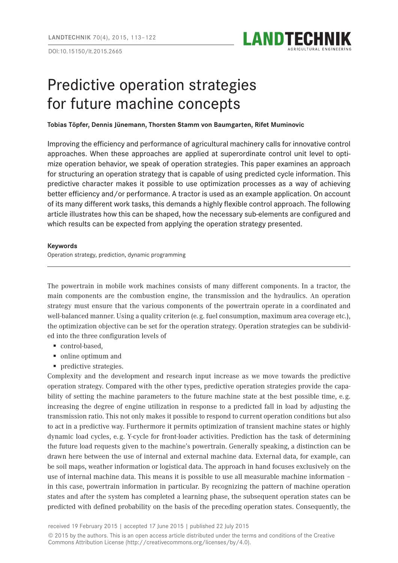DOI:10.15150/lt.2015.2665



# Predictive operation strategies for future machine concepts

### **Tobias Töpfer, Dennis Jünemann, Thorsten Stamm von Baumgarten, Rifet Muminovic**

Improving the efficiency and performance of agricultural machinery calls for innovative control approaches. When these approaches are applied at superordinate control unit level to optimize operation behavior, we speak of operation strategies. This paper examines an approach for structuring an operation strategy that is capable of using predicted cycle information. This predictive character makes it possible to use optimization processes as a way of achieving better efficiency and/or performance. A tractor is used as an example application. On account of its many different work tasks, this demands a highly flexible control approach. The following article illustrates how this can be shaped, how the necessary sub-elements are configured and which results can be expected from applying the operation strategy presented.

#### **Keywords**

Operation strategy, prediction, dynamic programming

The powertrain in mobile work machines consists of many different components. In a tractor, the main components are the combustion engine, the transmission and the hydraulics. An operation strategy must ensure that the various components of the powertrain operate in a coordinated and well-balanced manner. Using a quality criterion (e. g. fuel consumption, maximum area coverage etc.), the optimization objective can be set for the operation strategy. Operation strategies can be subdivided into the three configuration levels of

- control-based,
- online optimum and
- **Predictive strategies.**

Complexity and the development and research input increase as we move towards the predictive operation strategy. Compared with the other types, predictive operation strategies provide the capability of setting the machine parameters to the future machine state at the best possible time, e.g. increasing the degree of engine utilization in response to a predicted fall in load by adjusting the transmission ratio. This not only makes it possible to respond to current operation conditions but also to act in a predictive way. Furthermore it permits optimization of transient machine states or highly dynamic load cycles, e. g. Y-cycle for front-loader activities. Prediction has the task of determining the future load requests given to the machine's powertrain. Generally speaking, a distinction can be drawn here between the use of internal and external machine data. External data, for example, can be soil maps, weather information or logistical data. The approach in hand focuses exclusively on the use of internal machine data. This means it is possible to use all measurable machine information – in this case, powertrain information in particular. By recognizing the pattern of machine operation states and after the system has completed a learning phase, the subsequent operation states can be predicted with defined probability on the basis of the preceding operation states. Consequently, the

received 19 February 2015 | accepted 17 June 2015 | published 22 July 2015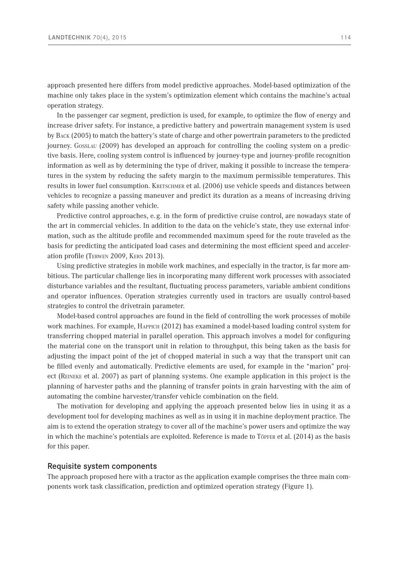approach presented here differs from model predictive approaches. Model-based optimization of the machine only takes place in the system's optimization element which contains the machine's actual operation strategy.

In the passenger car segment, prediction is used, for example, to optimize the flow of energy and increase driver safety. For instance, a predictive battery and powertrain management system is used by Back (2005) to match the battery's state of charge and other powertrain parameters to the predicted journey. Gosslau (2009) has developed an approach for controlling the cooling system on a predictive basis. Here, cooling system control is influenced by journey-type and journey-profile recognition information as well as by determining the type of driver, making it possible to increase the temperatures in the system by reducing the safety margin to the maximum permissible temperatures. This results in lower fuel consumption. KRETSCHMER et al. (2006) use vehicle speeds and distances between vehicles to recognize a passing maneuver and predict its duration as a means of increasing driving safety while passing another vehicle.

Predictive control approaches, e.g. in the form of predictive cruise control, are nowadays state of the art in commercial vehicles. In addition to the data on the vehicle's state, they use external information, such as the altitude profile and recommended maximum speed for the route traveled as the basis for predicting the anticipated load cases and determining the most efficient speed and acceleration profile (Terwen 2009, Kern 2013).

Using predictive strategies in mobile work machines, and especially in the tractor, is far more ambitious. The particular challenge lies in incorporating many different work processes with associated disturbance variables and the resultant, fluctuating process parameters, variable ambient conditions and operator influences. Operation strategies currently used in tractors are usually control-based strategies to control the drivetrain parameter.

Model-based control approaches are found in the field of controlling the work processes of mobile work machines. For example, Happich (2012) has examined a model-based loading control system for transferring chopped material in parallel operation. This approach involves a model for configuring the material cone on the transport unit in relation to throughput, this being taken as the basis for adjusting the impact point of the jet of chopped material in such a way that the transport unit can be filled evenly and automatically. Predictive elements are used, for example in the "marion" project (Reineke et al. 2007) as part of planning systems. One example application in this project is the planning of harvester paths and the planning of transfer points in grain harvesting with the aim of automating the combine harvester/transfer vehicle combination on the field.

The motivation for developing and applying the approach presented below lies in using it as a development tool for developing machines as well as in using it in machine deployment practice. The aim is to extend the operation strategy to cover all of the machine's power users and optimize the way in which the machine's potentials are exploited. Reference is made to Töpfer et al. (2014) as the basis for this paper.

### Requisite system components

The approach proposed here with a tractor as the application example comprises the three main components work task classification, prediction and optimized operation strategy ([Figure](#page-2-0) 1).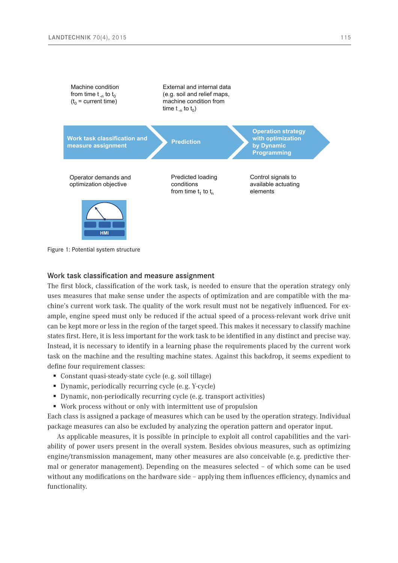

<span id="page-2-0"></span>Figure 1: Potential system structure

# Work task classification and measure assignment

The first block, classification of the work task, is needed to ensure that the operation strategy only uses measures that make sense under the aspects of optimization and are compatible with the machine's current work task. The quality of the work result must not be negatively influenced. For example, engine speed must only be reduced if the actual speed of a process-relevant work drive unit can be kept more or less in the region of the target speed. This makes it necessary to classify machine states first. Here, it is less important for the work task to be identified in any distinct and precise way. Instead, it is necessary to identify in a learning phase the requirements placed by the current work task on the machine and the resulting machine states. Against this backdrop, it seems expedient to define four requirement classes:

- Constant quasi-steady-state cycle (e. g. soil tillage)
- Dynamic, periodically recurring cycle (e. g. Y-cycle)
- Dynamic, non-periodically recurring cycle (e. g. transport activities)
- Work process without or only with intermittent use of propulsion

Each class is assigned a package of measures which can be used by the operation strategy. Individual package measures can also be excluded by analyzing the operation pattern and operator input.

As applicable measures, it is possible in principle to exploit all control capabilities and the variability of power users present in the overall system. Besides obvious measures, such as optimizing engine/transmission management, many other measures are also conceivable (e. g. predictive thermal or generator management). Depending on the measures selected – of which some can be used without any modifications on the hardware side – applying them influences efficiency, dynamics and functionality.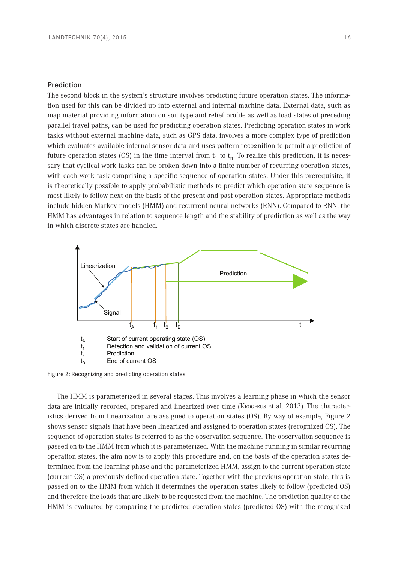#### Prediction

The second block in the system's structure involves predicting future operation states. The information used for this can be divided up into external and internal machine data. External data, such as map material providing information on soil type and relief profile as well as load states of preceding parallel travel paths, can be used for predicting operation states. Predicting operation states in work tasks without external machine data, such as GPS data, involves a more complex type of prediction which evaluates available internal sensor data and uses pattern recognition to permit a prediction of future operation states (OS) in the time interval from  $t_1$  to  $t_n$ . To realize this prediction, it is necessary that cyclical work tasks can be broken down into a finite number of recurring operation states, with each work task comprising a specific sequence of operation states. Under this prerequisite, it is theoretically possible to apply probabilistic methods to predict which operation state sequence is most likely to follow next on the basis of the present and past operation states. Appropriate methods include hidden Markov models (HMM) and recurrent neural networks (RNN). Compared to RNN, the HMM has advantages in relation to sequence length and the stability of prediction as well as the way in which discrete states are handled.

<span id="page-3-0"></span>

Figure 2: Recognizing and predicting operation states

The HMM is parameterized in several stages. This involves a learning phase in which the sensor data are initially recorded, prepared and linearized over time (Krogerus et al. 2013). The characteristics derived from linearization are assigned to operation states (OS). By way of example, [Figure](#page-3-0) 2 shows sensor signals that have been linearized and assigned to operation states (recognized OS). The sequence of operation states is referred to as the observation sequence. The observation sequence is passed on to the HMM from which it is parameterized. With the machine running in similar recurring operation states, the aim now is to apply this procedure and, on the basis of the operation states determined from the learning phase and the parameterized HMM, assign to the current operation state (current OS) a previously defined operation state. Together with the previous operation state, this is passed on to the HMM from which it determines the operation states likely to follow (predicted OS) and therefore the loads that are likely to be requested from the machine. The prediction quality of the HMM is evaluated by comparing the predicted operation states (predicted OS) with the recognized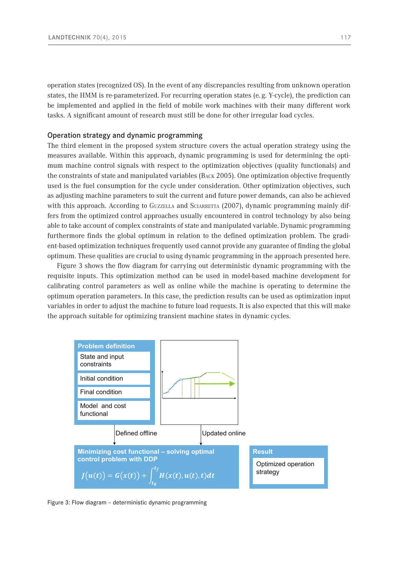operation states (recognized OS). In the event of any discrepancies resulting from unknown operation states, the HMM is re-parameterized. For recurring operation states (e.g. Y-cycle), the prediction can be implemented and applied in the field of mobile work machines with their many different work tasks. A significant amount of research must still be done for other irregular load cycles.

# Operation strategy and dynamic programming

The third element in the proposed system structure covers the actual operation strategy using the measures available. Within this approach, dynamic programming is used for determining the optimum machine control signals with respect to the optimization objectives (quality functionals) and the constraints of state and manipulated variables (Back 2005). One optimization objective frequently used is the fuel consumption for the cycle under consideration. Other optimization objectives, such as adjusting machine parameters to suit the current and future power demands, can also be achieved with this approach. According to GUZZELLA and SCIARRETTA (2007), dynamic programming mainly differs from the optimized control approaches usually encountered in control technology by also being able to take account of complex constraints of state and manipulated variable. Dynamic programming furthermore finds the global optimum in relation to the defined optimization problem. The gradient-based optimization techniques frequently used cannot provide any guarantee of finding the global optimum. These qualities are crucial to using dynamic programming in the approach presented here.

Figure 3 shows the flow diagram for carrying out deterministic dynamic programming with the requisite inputs. This optimization method can be used in model-based machine development for calibrating control parameters as well as online while the machine is operating to determine the optimum operation parameters. In this case, the prediction results can be used as optimization input variables in order to adjust the machine to future load requests. It is also expected that this will make the approach suitable for optimizing transient machine states in dynamic cycles.



Figure 3: Flow diagram – deterministic dynamic programming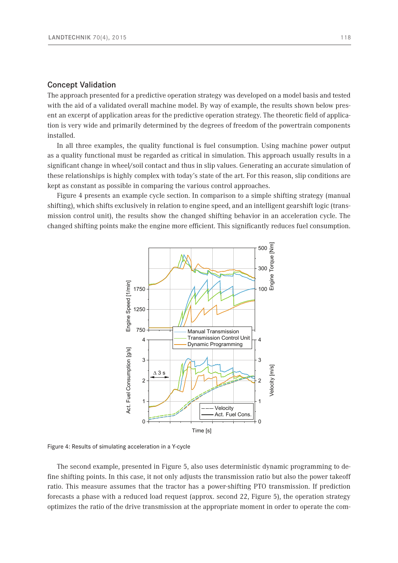# Concept Validation

The approach presented for a predictive operation strategy was developed on a model basis and tested with the aid of a validated overall machine model. By way of example, the results shown below present an excerpt of application areas for the predictive operation strategy. The theoretic field of application is very wide and primarily determined by the degrees of freedom of the powertrain components installed.

In all three examples, the quality functional is fuel consumption. Using machine power output as a quality functional must be regarded as critical in simulation. This approach usually results in a significant change in wheel/soil contact and thus in slip values. Generating an accurate simulation of these relationships is highly complex with today's state of the art. For this reason, slip conditions are kept as constant as possible in comparing the various control approaches.

Figure 4 presents an example cycle section. In comparison to a simple shifting strategy (manual shifting), which shifts exclusively in relation to engine speed, and an intelligent gearshift logic (transmission control unit), the results show the changed shifting behavior in an acceleration cycle. The changed shifting points make the engine more efficient. This significantly reduces fuel consumption.



Figure 4: Results of simulating acceleration in a Y-cycle

The second example, presented in [Figure](#page-6-0) 5, also uses deterministic dynamic programming to define shifting points. In this case, it not only adjusts the transmission ratio but also the power takeoff ratio. This measure assumes that the tractor has a power-shifting PTO transmission. If prediction forecasts a phase with a reduced load request (approx. second 22, [Figure](#page-6-0) 5), the operation strategy optimizes the ratio of the drive transmission at the appropriate moment in order to operate the com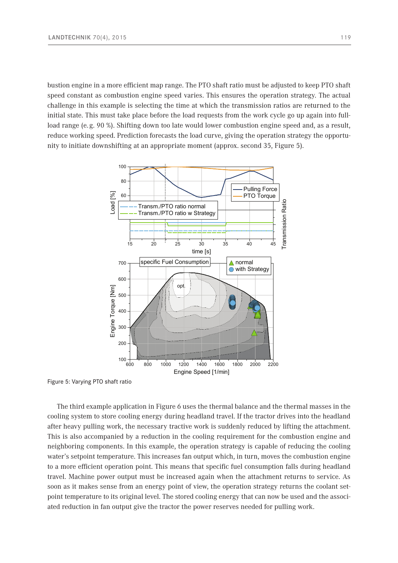bustion engine in a more efficient map range. The PTO shaft ratio must be adjusted to keep PTO shaft speed constant as combustion engine speed varies. This ensures the operation strategy. The actual challenge in this example is selecting the time at which the transmission ratios are returned to the initial state. This must take place before the load requests from the work cycle go up again into fullload range (e. g. 90 %). Shifting down too late would lower combustion engine speed and, as a result, reduce working speed. Prediction forecasts the load curve, giving the operation strategy the opportunity to initiate downshifting at an appropriate moment (approx. second 35, [Figure](#page-6-0) 5).



<span id="page-6-0"></span>Figure 5: Varying PTO shaft ratio

The third example application in [Figure 6](#page-7-0) uses the thermal balance and the thermal masses in the cooling system to store cooling energy during headland travel. If the tractor drives into the headland after heavy pulling work, the necessary tractive work is suddenly reduced by lifting the attachment. This is also accompanied by a reduction in the cooling requirement for the combustion engine and neighboring components. In this example, the operation strategy is capable of reducing the cooling water's setpoint temperature. This increases fan output which, in turn, moves the combustion engine to a more efficient operation point. This means that specific fuel consumption falls during headland travel. Machine power output must be increased again when the attachment returns to service. As soon as it makes sense from an energy point of view, the operation strategy returns the coolant setpoint temperature to its original level. The stored cooling energy that can now be used and the associated reduction in fan output give the tractor the power reserves needed for pulling work.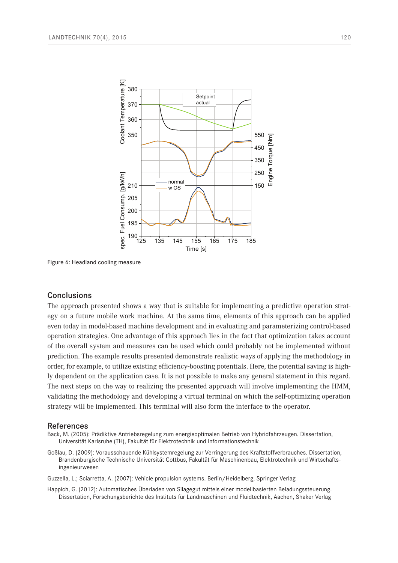

<span id="page-7-0"></span>Figure 6: Headland cooling measure

### **Conclusions**

The approach presented shows a way that is suitable for implementing a predictive operation strategy on a future mobile work machine. At the same time, elements of this approach can be applied even today in model-based machine development and in evaluating and parameterizing control-based operation strategies. One advantage of this approach lies in the fact that optimization takes account of the overall system and measures can be used which could probably not be implemented without prediction. The example results presented demonstrate realistic ways of applying the methodology in order, for example, to utilize existing efficiency-boosting potentials. Here, the potential saving is highly dependent on the application case. It is not possible to make any general statement in this regard. The next steps on the way to realizing the presented approach will involve implementing the HMM, validating the methodology and developing a virtual terminal on which the self-optimizing operation strategy will be implemented. This terminal will also form the interface to the operator.

#### References

Back, M. (2005): Prädiktive Antriebsregelung zum energieoptimalen Betrieb von Hybridfahrzeugen. Dissertation, Universität Karlsruhe (TH), Fakultät für Elektrotechnik und Informationstechnik

Goßlau, D. (2009): Vorausschauende Kühlsystemregelung zur Verringerung des Kraftstoffverbrauches. Dissertation, Brandenburgische Technische Universität Cottbus, Fakultät für Maschinenbau, Elektrotechnik und Wirtschaftsingenieurwesen

Guzzella, L.; Sciarretta, A. (2007): Vehicle propulsion systems. Berlin/Heidelberg, Springer Verlag

Happich, G. (2012): Automatisches Überladen von Silagegut mittels einer modellbasierten Beladungssteuerung. Dissertation, Forschungsberichte des Instituts für Landmaschinen und Fluidtechnik, Aachen, Shaker Verlag